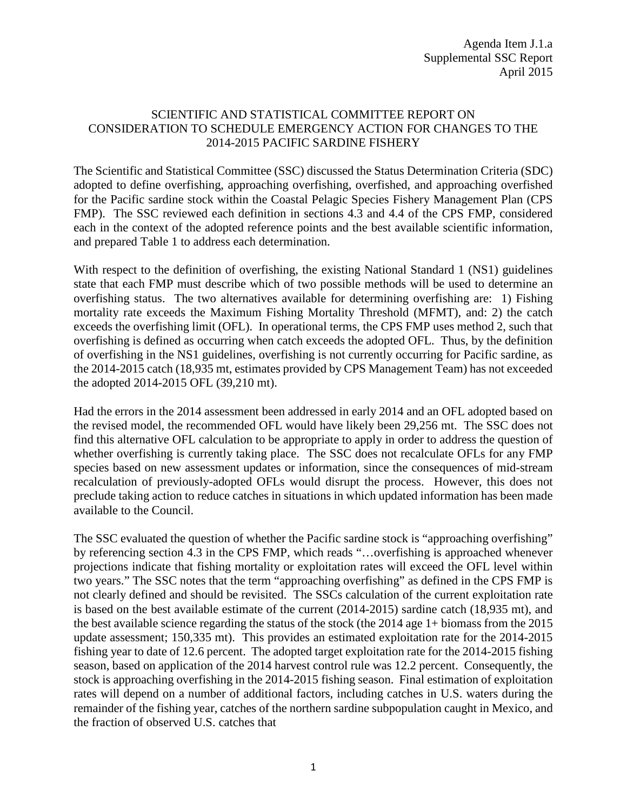## SCIENTIFIC AND STATISTICAL COMMITTEE REPORT ON CONSIDERATION TO SCHEDULE EMERGENCY ACTION FOR CHANGES TO THE 2014-2015 PACIFIC SARDINE FISHERY

The Scientific and Statistical Committee (SSC) discussed the Status Determination Criteria (SDC) adopted to define overfishing, approaching overfishing, overfished, and approaching overfished for the Pacific sardine stock within the Coastal Pelagic Species Fishery Management Plan (CPS FMP). The SSC reviewed each definition in sections 4.3 and 4.4 of the CPS FMP, considered each in the context of the adopted reference points and the best available scientific information, and prepared Table 1 to address each determination.

With respect to the definition of overfishing, the existing National Standard 1 (NS1) guidelines state that each FMP must describe which of two possible methods will be used to determine an overfishing status. The two alternatives available for determining overfishing are: 1) Fishing mortality rate exceeds the Maximum Fishing Mortality Threshold (MFMT), and: 2) the catch exceeds the overfishing limit (OFL). In operational terms, the CPS FMP uses method 2, such that overfishing is defined as occurring when catch exceeds the adopted OFL. Thus, by the definition of overfishing in the NS1 guidelines, overfishing is not currently occurring for Pacific sardine, as the 2014-2015 catch (18,935 mt, estimates provided by CPS Management Team) has not exceeded the adopted 2014-2015 OFL (39,210 mt).

Had the errors in the 2014 assessment been addressed in early 2014 and an OFL adopted based on the revised model, the recommended OFL would have likely been 29,256 mt. The SSC does not find this alternative OFL calculation to be appropriate to apply in order to address the question of whether overfishing is currently taking place. The SSC does not recalculate OFLs for any FMP species based on new assessment updates or information, since the consequences of mid-stream recalculation of previously-adopted OFLs would disrupt the process. However, this does not preclude taking action to reduce catches in situations in which updated information has been made available to the Council.

The SSC evaluated the question of whether the Pacific sardine stock is "approaching overfishing" by referencing section 4.3 in the CPS FMP, which reads "…overfishing is approached whenever projections indicate that fishing mortality or exploitation rates will exceed the OFL level within two years." The SSC notes that the term "approaching overfishing" as defined in the CPS FMP is not clearly defined and should be revisited. The SSCs calculation of the current exploitation rate is based on the best available estimate of the current (2014-2015) sardine catch (18,935 mt), and the best available science regarding the status of the stock (the 2014 age 1+ biomass from the 2015 update assessment; 150,335 mt). This provides an estimated exploitation rate for the 2014-2015 fishing year to date of 12.6 percent. The adopted target exploitation rate for the 2014-2015 fishing season, based on application of the 2014 harvest control rule was 12.2 percent. Consequently, the stock is approaching overfishing in the 2014-2015 fishing season. Final estimation of exploitation rates will depend on a number of additional factors, including catches in U.S. waters during the remainder of the fishing year, catches of the northern sardine subpopulation caught in Mexico, and the fraction of observed U.S. catches that